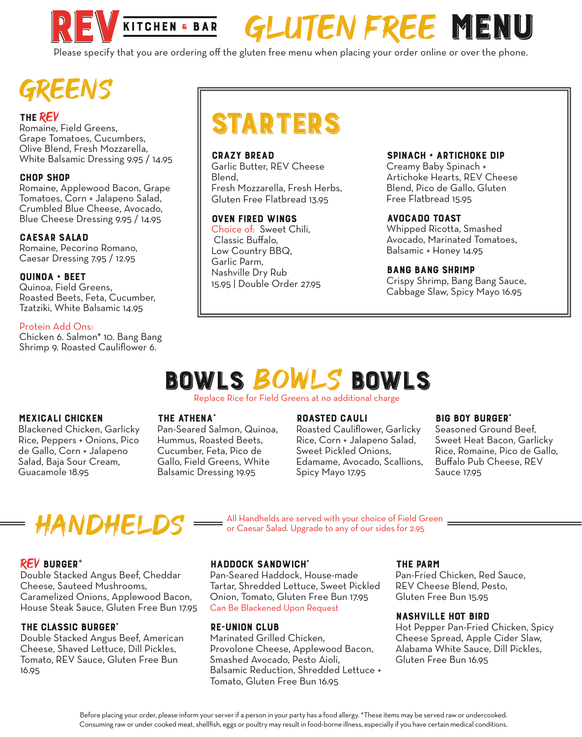

# GLUTEN FREE MENU

Please specify that you are ordering off the gluten free menu when placing your order online or over the phone.

## REENS

Romaine, Field Greens, Grape Tomatoes, Cucumbers, Olive Blend, Fresh Mozzarella, White Balsamic Dressing 9.95 / 14.95

#### CHOP SHOP

Romaine, Applewood Bacon, Grape Tomatoes, Corn + Jalapeno Salad, Crumbled Blue Cheese, Avocado, Blue Cheese Dressing 9.95 / 14.95

#### CAESAR SALAD

Romaine, Pecorino Romano, Caesar Dressing 7.95 / 12.95

#### QUINOA + BEET

Quinoa, Field Greens, Roasted Beets, Feta, Cucumber, Tzatziki, White Balsamic 14.95

#### Protein Add Ons:

Chicken 6. Salmon\* 10. Bang Bang Shrimp 9. Roasted Cauliflower 6.

# THE REV<br>Romaine, Field Greens, STARTERS

#### CRAZY BREAD

Garlic Butter, REV Cheese Blend, Fresh Mozzarella, Fresh Herbs, Gluten Free Flatbread 13.95

#### OVEN FIRED WINGS

Choice of: Sweet Chili, Classic Buffalo, Low Country BBQ, Garlic Parm, Nashville Dry Rub 15.95 | Double Order 27.95

#### SPINACH + ARTICHOKE DIP

Creamy Baby Spinach + Artichoke Hearts, REV Cheese Blend, Pico de Gallo, Gluten Free Flatbread 15.95

#### AVOCADO TOAST

Whipped Ricotta, Smashed Avocado, Marinated Tomatoes, Balsamic + Honey 14.95

#### BANG BANG SHRIMP

Crispy Shrimp, Bang Bang Sauce, Cabbage Slaw, Spicy Mayo 16.95

## BOWLS BOWLS BOWLS

Replace Rice for Field Greens at no additional charge

#### MEXICALI CHICKEN

Blackened Chicken, Garlicky Rice, Peppers + Onions, Pico de Gallo, Corn + Jalapeno Salad, Baja Sour Cream, Guacamole 18.95

#### THE ATHENA\*

Pan-Seared Salmon, Quinoa, Hummus, Roasted Beets, Cucumber, Feta, Pico de Gallo, Field Greens, White Balsamic Dressing 19.95

#### ROASTED CAULI

Roasted Cauliflower, Garlicky Rice, Corn + Jalapeno Salad, Sweet Pickled Onions, Edamame, Avocado, Scallions, Spicy Mayo 17.95

#### **BIG BOY BURGER'**

Seasoned Ground Beef, Sweet Heat Bacon, Garlicky Rice, Romaine, Pico de Gallo, Buffalo Pub Cheese, REV Sauce 17.95

### HANDHELDS

All Handhelds are served with your choice of Field Green or Caesar Salad. Upgrade to any of our sides for 2.95

#### REV BURGER\*

Double Stacked Angus Beef, Cheddar Cheese, Sauteed Mushrooms, Caramelized Onions, Applewood Bacon, House Steak Sauce, Gluten Free Bun 17.95

#### THE CLASSIC BURGER\*

Double Stacked Angus Beef, American Cheese, Shaved Lettuce, Dill Pickles, Tomato, REV Sauce, Gluten Free Bun 16.95

#### HADDOCK SANDWICH'

Pan-Seared Haddock, House-made Tartar, Shredded Lettuce, Sweet Pickled Onion, Tomato, Gluten Free Bun 17.95 Can Be Blackened Upon Request

#### RE-UNION CLUB

Marinated Grilled Chicken, Provolone Cheese, Applewood Bacon, Smashed Avocado, Pesto Aioli, Balsamic Reduction, Shredded Lettuce + Tomato, Gluten Free Bun 16.95

#### THE PARM

Pan-Fried Chicken, Red Sauce, REV Cheese Blend, Pesto, Gluten Free Bun 15.95

#### NASHVILLE HOT BIRD

Hot Pepper Pan-Fried Chicken, Spicy Cheese Spread, Apple Cider Slaw, Alabama White Sauce, Dill Pickles, Gluten Free Bun 16.95